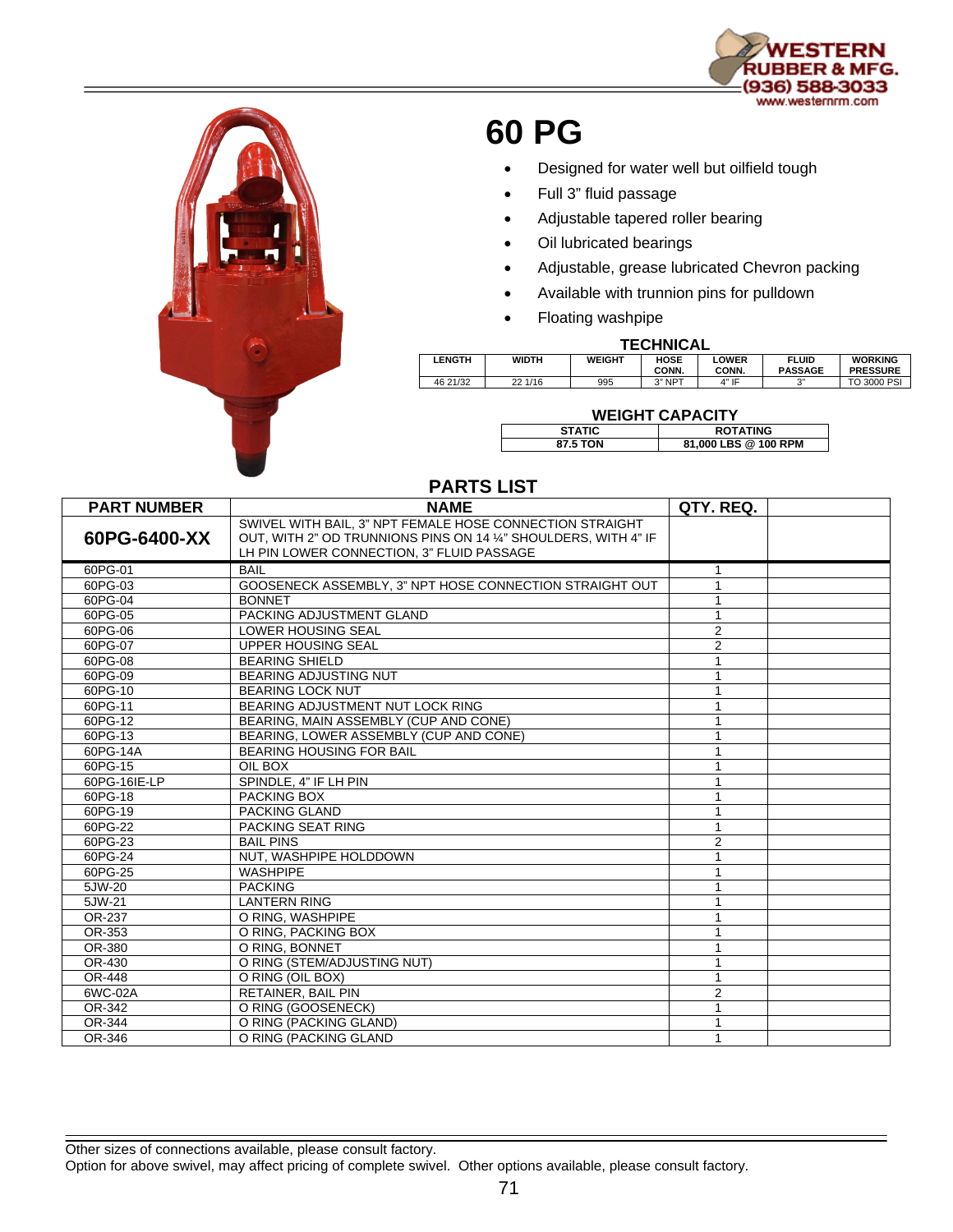



# **60 PG**

- Designed for water well but oilfield tough
- Full 3" fluid passage
- Adjustable tapered roller bearing
- Oil lubricated bearings
- Adjustable, grease lubricated Chevron packing
- Available with trunnion pins for pulldown
- Floating washpipe

#### **TECHNICAL**

| .             |              |               |               |                       |                                |                                   |  |  |  |
|---------------|--------------|---------------|---------------|-----------------------|--------------------------------|-----------------------------------|--|--|--|
| <b>LENGTH</b> | <b>WIDTH</b> | <b>WEIGHT</b> | HOSE<br>CONN. | <b>LOWER</b><br>CONN. | <b>FLUID</b><br><b>PASSAGE</b> | <b>WORKING</b><br><b>PRESSURE</b> |  |  |  |
| 46 21/32      | 22 1/16      | 995           | 3" NPT        | 4" IF                 | $\sim$                         | TO 3000 PSI                       |  |  |  |

## **WEIGHT CAPACITY**

| <b>STATIC</b> | <b>ROTATING</b>      |
|---------------|----------------------|
| 87.5 TON      | 81,000 LBS @ 100 RPM |

| <b>PARTS LIST</b>  |                                                                                                                                                                          |                |  |  |  |  |  |
|--------------------|--------------------------------------------------------------------------------------------------------------------------------------------------------------------------|----------------|--|--|--|--|--|
| <b>PART NUMBER</b> | <b>NAME</b>                                                                                                                                                              | QTY. REQ.      |  |  |  |  |  |
| 60PG-6400-XX       | SWIVEL WITH BAIL, 3" NPT FEMALE HOSE CONNECTION STRAIGHT<br>OUT, WITH 2" OD TRUNNIONS PINS ON 14 1/4" SHOULDERS, WITH 4" IF<br>LH PIN LOWER CONNECTION, 3" FLUID PASSAGE |                |  |  |  |  |  |
| 60PG-01            | <b>BAIL</b>                                                                                                                                                              | 1              |  |  |  |  |  |
| 60PG-03            | GOOSENECK ASSEMBLY, 3" NPT HOSE CONNECTION STRAIGHT OUT                                                                                                                  | 1              |  |  |  |  |  |
| 60PG-04            | <b>BONNET</b>                                                                                                                                                            |                |  |  |  |  |  |
| 60PG-05            | PACKING ADJUSTMENT GLAND                                                                                                                                                 |                |  |  |  |  |  |
| 60PG-06            | <b>LOWER HOUSING SEAL</b>                                                                                                                                                | 2              |  |  |  |  |  |
| 60PG-07            | UPPER HOUSING SEAL                                                                                                                                                       | $\overline{2}$ |  |  |  |  |  |
| 60PG-08            | <b>BEARING SHIELD</b>                                                                                                                                                    |                |  |  |  |  |  |
| 60PG-09            | <b>BEARING ADJUSTING NUT</b>                                                                                                                                             |                |  |  |  |  |  |
| 60PG-10            | <b>BEARING LOCK NUT</b>                                                                                                                                                  |                |  |  |  |  |  |
| 60PG-11            | BEARING ADJUSTMENT NUT LOCK RING                                                                                                                                         |                |  |  |  |  |  |
| 60PG-12            | BEARING, MAIN ASSEMBLY (CUP AND CONE)                                                                                                                                    |                |  |  |  |  |  |
| 60PG-13            | BEARING. LOWER ASSEMBLY (CUP AND CONE)                                                                                                                                   |                |  |  |  |  |  |
| 60PG-14A           | <b>BEARING HOUSING FOR BAIL</b>                                                                                                                                          |                |  |  |  |  |  |
| 60PG-15            | OIL BOX                                                                                                                                                                  |                |  |  |  |  |  |
| 60PG-16IE-LP       | SPINDLE. 4" IF LH PIN                                                                                                                                                    |                |  |  |  |  |  |
| 60PG-18            | PACKING BOX                                                                                                                                                              |                |  |  |  |  |  |
| 60PG-19            | <b>PACKING GLAND</b>                                                                                                                                                     |                |  |  |  |  |  |
| 60PG-22            | PACKING SEAT RING                                                                                                                                                        |                |  |  |  |  |  |
| 60PG-23            | <b>BAIL PINS</b>                                                                                                                                                         | $\overline{2}$ |  |  |  |  |  |
| 60PG-24            | NUT. WASHPIPE HOLDDOWN                                                                                                                                                   |                |  |  |  |  |  |
| 60PG-25            | <b>WASHPIPE</b>                                                                                                                                                          |                |  |  |  |  |  |
| 5JW-20             | <b>PACKING</b>                                                                                                                                                           |                |  |  |  |  |  |
| 5JW-21             | <b>LANTERN RING</b>                                                                                                                                                      |                |  |  |  |  |  |
| OR-237             | O RING. WASHPIPE                                                                                                                                                         |                |  |  |  |  |  |
| OR-353             | O RING, PACKING BOX                                                                                                                                                      |                |  |  |  |  |  |
| OR-380             | O RING, BONNET                                                                                                                                                           |                |  |  |  |  |  |
| OR-430             | O RING (STEM/ADJUSTING NUT)                                                                                                                                              |                |  |  |  |  |  |
| OR-448             | O RING (OIL BOX)                                                                                                                                                         |                |  |  |  |  |  |
| 6WC-02A            | <b>RETAINER, BAIL PIN</b>                                                                                                                                                | $\overline{2}$ |  |  |  |  |  |
| OR-342             | O RING (GOOSENECK)                                                                                                                                                       |                |  |  |  |  |  |
| OR-344             | O RING (PACKING GLAND)                                                                                                                                                   |                |  |  |  |  |  |
| OR-346             | O RING (PACKING GLAND                                                                                                                                                    | 1              |  |  |  |  |  |

### Other sizes of connections available, please consult factory.

Option for above swivel, may affect pricing of complete swivel. Other options available, please consult factory.